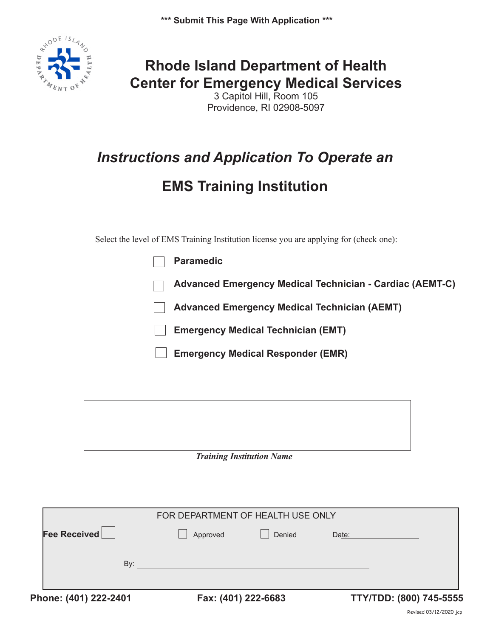**\*\*\* Submit This Page With Application \*\*\***



## **Rhode Island Department of Health Center for Emergency Medical Services**

3 Capitol Hill, Room 105 Providence, RI 02908-5097

# *Instructions and Application To Operate an*

# **EMS Training Institution**

Select the level of EMS Training Institution license you are applying for (check one):

| <b>Paramedic</b>                                         |
|----------------------------------------------------------|
| Advanced Emergency Medical Technician - Cardiac (AEMT-C) |
| <b>Advanced Emergency Medical Technician (AEMT)</b>      |
| <b>Emergency Medical Technician (EMT)</b>                |
| <b>Emergency Medical Responder (EMR)</b>                 |

#### *Training Institution Name*

| Phone: (401) 222-2401 | Fax: (401) 222-6683               |        |       | TTY/TDD: (800) 745-5555 |
|-----------------------|-----------------------------------|--------|-------|-------------------------|
| By:                   |                                   |        |       |                         |
| Fee Received          | Approved                          | Denied | Date: |                         |
|                       |                                   |        |       |                         |
|                       | FOR DEPARTMENT OF HEALTH USE ONLY |        |       |                         |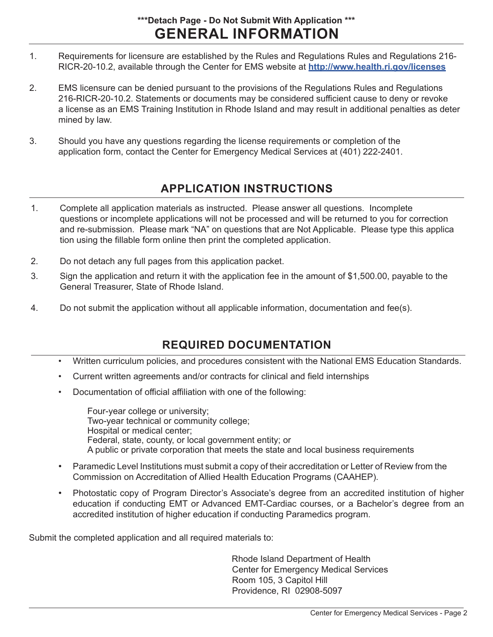#### **GENERAL INFORMATION \*\*\*Detach Page - Do Not Submit With Application \*\*\***

- 1. Requirements for licensure are established by the Rules and Regulations Rules and Regulations 216- RICR-20-10.2, available through the Center for EMS website at **http://www.health.ri.gov/licenses**
- 2. EMS licensure can be denied pursuant to the provisions of the Regulations Rules and Regulations 216-RICR-20-10.2. Statements or documents may be considered sufficient cause to deny or revoke a license as an EMS Training Institution in Rhode Island and may result in additional penalties as deter mined by law.
- 3. Should you have any questions regarding the license requirements or completion of the application form, contact the Center for Emergency Medical Services at (401) 222-2401.

## **APPLICATION INSTRUCTIONS**

- 1. Complete all application materials as instructed. Please answer all questions. Incomplete questions or incomplete applications will not be processed and will be returned to you for correction and re-submission. Please mark "NA" on questions that are Not Applicable. Please type this applica tion using the fillable form online then print the completed application.
- 2. Do not detach any full pages from this application packet.
- 3. Sign the application and return it with the application fee in the amount of \$1,500.00, payable to the General Treasurer, State of Rhode Island.
- 4. Do not submit the application without all applicable information, documentation and fee(s).

## **REQUIRED DOCUMENTATION**

- Written curriculum policies, and procedures consistent with the National EMS Education Standards.
- Current written agreements and/or contracts for clinical and field internships
- Documentation of official affiliation with one of the following:

 Four-year college or university; Two-year technical or community college; Hospital or medical center; Federal, state, county, or local government entity; or A public or private corporation that meets the state and local business requirements

- Paramedic Level Institutions must submit a copy of their accreditation or Letter of Review from the Commission on Accreditation of Allied Health Education Programs (CAAHEP).
- Photostatic copy of Program Director's Associate's degree from an accredited institution of higher education if conducting EMT or Advanced EMT-Cardiac courses, or a Bachelor's degree from an accredited institution of higher education if conducting Paramedics program.

Submit the completed application and all required materials to:

 Rhode Island Department of Health Center for Emergency Medical Services Room 105, 3 Capitol Hill Providence, RI 02908-5097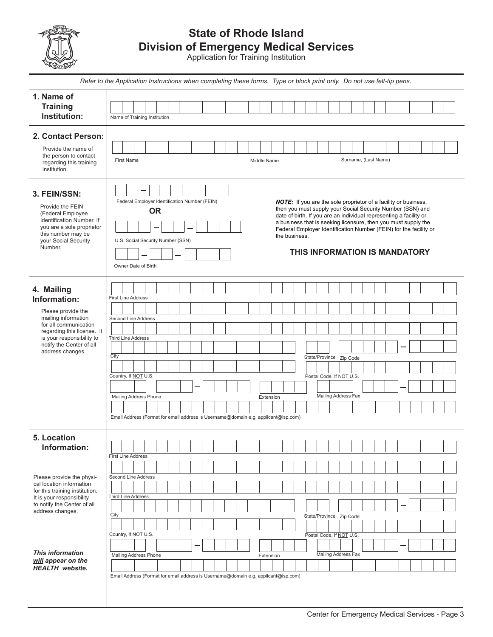

### **State of Rhode Island Division of Emergency Medical Services**

Application for Training Institution

|                                                                                                                                                                                                             | Refer to the Application Instructions when completing these forms. Type or block print only. Do not use felt-tip pens.                                                                                                                                                                                                                                                                                                                                                                                                        |  |  |  |
|-------------------------------------------------------------------------------------------------------------------------------------------------------------------------------------------------------------|-------------------------------------------------------------------------------------------------------------------------------------------------------------------------------------------------------------------------------------------------------------------------------------------------------------------------------------------------------------------------------------------------------------------------------------------------------------------------------------------------------------------------------|--|--|--|
| 1. Name of<br><b>Training</b><br>Institution:                                                                                                                                                               | Name of Training Institution                                                                                                                                                                                                                                                                                                                                                                                                                                                                                                  |  |  |  |
| 2. Contact Person:<br>Provide the name of<br>the person to contact<br>regarding this training<br>institution.                                                                                               | Surname, (Last Name)<br><b>First Name</b><br>Middle Name                                                                                                                                                                                                                                                                                                                                                                                                                                                                      |  |  |  |
| 3. FEIN/SSN:<br>Provide the FEIN<br>(Federal Employee<br>Identification Number. If<br>you are a sole proprietor<br>this number may be<br>your Social Security<br>Number.                                    | Federal Employer Identification Number (FEIN)<br><b>NOTE:</b> If you are the sole proprietor of a facility or business,<br>then you must supply your Social Security Number (SSN) and<br><b>OR</b><br>date of birth. If you are an individual representing a facility or<br>a business that is seeking licensure, then you must supply the<br>Federal Employer Identification Number (FEIN) for the facility or<br>the business.<br>U.S. Social Security Number (SSN)<br>THIS INFORMATION IS MANDATORY<br>Owner Date of Birth |  |  |  |
| 4. Mailing<br>Information:<br>Please provide the<br>mailing information<br>for all communication<br>regarding this license. It<br>is your responsibility to<br>notify the Center of all<br>address changes. | <b>First Line Address</b><br>Second Line Address<br><b>Third Line Address</b><br>City<br>State/Province Zip Code<br>Country, If NOT U.S.<br>Postal Code, If NOT U.S.<br>Mailing Address Fax<br>Mailing Address Phone<br>Extension<br>Email Address (Format for email address is Username@domain e.g. applicant@isp.com)                                                                                                                                                                                                       |  |  |  |
| 5. Location<br>Information:                                                                                                                                                                                 | <b>First Line Address</b>                                                                                                                                                                                                                                                                                                                                                                                                                                                                                                     |  |  |  |
| Please provide the physi-<br>cal location information<br>for this training institution.<br>It is your responsibility<br>to notify the Center of all<br>address changes.                                     | <b>Second Line Address</b><br><b>Third Line Address</b><br>City<br>State/Province Zip Code                                                                                                                                                                                                                                                                                                                                                                                                                                    |  |  |  |
| <b>This information</b><br>will appear on the<br><b>HEALTH</b> website.                                                                                                                                     | Country, If NOT U.S.<br>Postal Code, If NOT U.S.<br>Mailing Address Fax<br>Mailing Address Phone<br>Extension<br>Email Address (Format for email address is Username@domain e.g. applicant@isp.com)                                                                                                                                                                                                                                                                                                                           |  |  |  |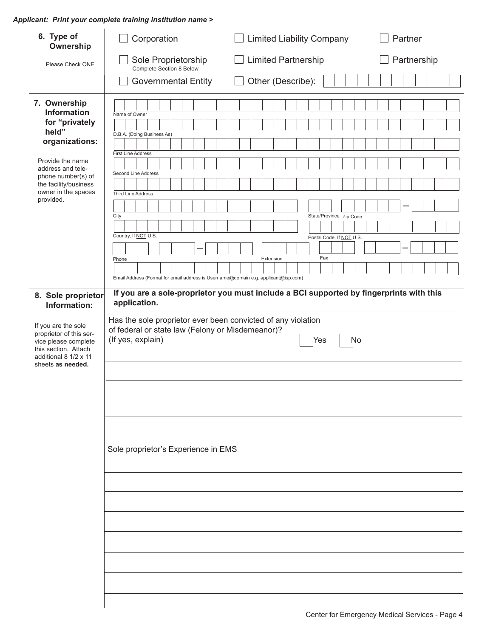*Applicant: Print your complete training institution name >*

| 6. Type of<br>Ownership                                                                                                                                                                                                                                                                                                                                                                           | Corporation                                                                                                                                                                                                                                                                                                                                                                                                                                                 | <b>Limited Liability Company</b>                                                                                                                                                | Partner     |
|---------------------------------------------------------------------------------------------------------------------------------------------------------------------------------------------------------------------------------------------------------------------------------------------------------------------------------------------------------------------------------------------------|-------------------------------------------------------------------------------------------------------------------------------------------------------------------------------------------------------------------------------------------------------------------------------------------------------------------------------------------------------------------------------------------------------------------------------------------------------------|---------------------------------------------------------------------------------------------------------------------------------------------------------------------------------|-------------|
| Please Check ONE                                                                                                                                                                                                                                                                                                                                                                                  | Sole Proprietorship<br>Complete Section 8 Below                                                                                                                                                                                                                                                                                                                                                                                                             | <b>Limited Partnership</b>                                                                                                                                                      | Partnership |
|                                                                                                                                                                                                                                                                                                                                                                                                   | <b>Governmental Entity</b>                                                                                                                                                                                                                                                                                                                                                                                                                                  | Other (Describe):                                                                                                                                                               |             |
| 7. Ownership<br><b>Information</b><br>for "privately<br>held"<br>organizations:<br>Provide the name<br>address and tele-<br>phone number(s) of<br>the facility/business<br>owner in the spaces<br>provided.<br>8. Sole proprietor<br>Information:<br>If you are the sole<br>proprietor of this ser-<br>vice please complete<br>this section. Attach<br>additional 8 1/2 x 11<br>sheets as needed. | Name of Owner<br>D.B.A. (Doing Business As)<br><b>First Line Address</b><br>Second Line Address<br><b>Third Line Address</b><br>City<br>Country, If NOT U.S.<br>Phone<br>Email Address (Format for email address is Username@domain e.g. applicant@isp.com)<br>application.<br>Has the sole proprietor ever been convicted of any violation<br>of federal or state law (Felony or Misdemeanor)?<br>(If yes, explain)<br>Sole proprietor's Experience in EMS | State/Province Zip Code<br>Postal Code, If NOT U.S.<br>Fax<br>Extension<br>If you are a sole-proprietor you must include a BCI supported by fingerprints with this<br>Yes<br>Nо |             |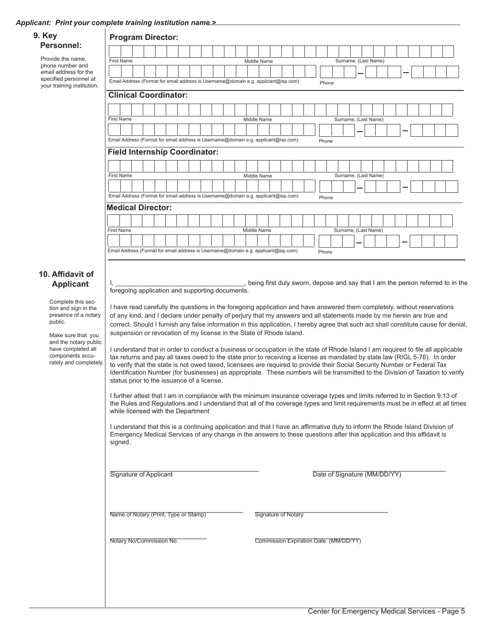#### *Applicant: Print your complete training institution name >*

| <b>Program Director:</b>                                                                                                                                                                                                                                                                                                                                                                                                                                                                                                                                                                                                                                                                                                                                                                                                                                                                                                                                                                                                                                                                                                                                                                                                                                                                                                                                                                                                                                                                                                                                                                                                                                                                                                                                                                                                                                                                                                                                                                                                                                                                                                                                                                                                                                                                            |  |  |  |  |  |
|-----------------------------------------------------------------------------------------------------------------------------------------------------------------------------------------------------------------------------------------------------------------------------------------------------------------------------------------------------------------------------------------------------------------------------------------------------------------------------------------------------------------------------------------------------------------------------------------------------------------------------------------------------------------------------------------------------------------------------------------------------------------------------------------------------------------------------------------------------------------------------------------------------------------------------------------------------------------------------------------------------------------------------------------------------------------------------------------------------------------------------------------------------------------------------------------------------------------------------------------------------------------------------------------------------------------------------------------------------------------------------------------------------------------------------------------------------------------------------------------------------------------------------------------------------------------------------------------------------------------------------------------------------------------------------------------------------------------------------------------------------------------------------------------------------------------------------------------------------------------------------------------------------------------------------------------------------------------------------------------------------------------------------------------------------------------------------------------------------------------------------------------------------------------------------------------------------------------------------------------------------------------------------------------------------|--|--|--|--|--|
|                                                                                                                                                                                                                                                                                                                                                                                                                                                                                                                                                                                                                                                                                                                                                                                                                                                                                                                                                                                                                                                                                                                                                                                                                                                                                                                                                                                                                                                                                                                                                                                                                                                                                                                                                                                                                                                                                                                                                                                                                                                                                                                                                                                                                                                                                                     |  |  |  |  |  |
| <b>First Name</b><br>Middle Name<br>Surname, (Last Name)                                                                                                                                                                                                                                                                                                                                                                                                                                                                                                                                                                                                                                                                                                                                                                                                                                                                                                                                                                                                                                                                                                                                                                                                                                                                                                                                                                                                                                                                                                                                                                                                                                                                                                                                                                                                                                                                                                                                                                                                                                                                                                                                                                                                                                            |  |  |  |  |  |
| Email Address (Format for email address is Username@domain e.g. applicant@isp.com)                                                                                                                                                                                                                                                                                                                                                                                                                                                                                                                                                                                                                                                                                                                                                                                                                                                                                                                                                                                                                                                                                                                                                                                                                                                                                                                                                                                                                                                                                                                                                                                                                                                                                                                                                                                                                                                                                                                                                                                                                                                                                                                                                                                                                  |  |  |  |  |  |
| Phone<br><b>Clinical Coordinator:</b>                                                                                                                                                                                                                                                                                                                                                                                                                                                                                                                                                                                                                                                                                                                                                                                                                                                                                                                                                                                                                                                                                                                                                                                                                                                                                                                                                                                                                                                                                                                                                                                                                                                                                                                                                                                                                                                                                                                                                                                                                                                                                                                                                                                                                                                               |  |  |  |  |  |
|                                                                                                                                                                                                                                                                                                                                                                                                                                                                                                                                                                                                                                                                                                                                                                                                                                                                                                                                                                                                                                                                                                                                                                                                                                                                                                                                                                                                                                                                                                                                                                                                                                                                                                                                                                                                                                                                                                                                                                                                                                                                                                                                                                                                                                                                                                     |  |  |  |  |  |
| <b>First Name</b><br>Middle Name<br>Surname, (Last Name)                                                                                                                                                                                                                                                                                                                                                                                                                                                                                                                                                                                                                                                                                                                                                                                                                                                                                                                                                                                                                                                                                                                                                                                                                                                                                                                                                                                                                                                                                                                                                                                                                                                                                                                                                                                                                                                                                                                                                                                                                                                                                                                                                                                                                                            |  |  |  |  |  |
|                                                                                                                                                                                                                                                                                                                                                                                                                                                                                                                                                                                                                                                                                                                                                                                                                                                                                                                                                                                                                                                                                                                                                                                                                                                                                                                                                                                                                                                                                                                                                                                                                                                                                                                                                                                                                                                                                                                                                                                                                                                                                                                                                                                                                                                                                                     |  |  |  |  |  |
| Email Address (Format for email address is Username@domain e.g. applicant@isp.com)<br>Phone                                                                                                                                                                                                                                                                                                                                                                                                                                                                                                                                                                                                                                                                                                                                                                                                                                                                                                                                                                                                                                                                                                                                                                                                                                                                                                                                                                                                                                                                                                                                                                                                                                                                                                                                                                                                                                                                                                                                                                                                                                                                                                                                                                                                         |  |  |  |  |  |
| <b>Field Internship Coordinator:</b>                                                                                                                                                                                                                                                                                                                                                                                                                                                                                                                                                                                                                                                                                                                                                                                                                                                                                                                                                                                                                                                                                                                                                                                                                                                                                                                                                                                                                                                                                                                                                                                                                                                                                                                                                                                                                                                                                                                                                                                                                                                                                                                                                                                                                                                                |  |  |  |  |  |
|                                                                                                                                                                                                                                                                                                                                                                                                                                                                                                                                                                                                                                                                                                                                                                                                                                                                                                                                                                                                                                                                                                                                                                                                                                                                                                                                                                                                                                                                                                                                                                                                                                                                                                                                                                                                                                                                                                                                                                                                                                                                                                                                                                                                                                                                                                     |  |  |  |  |  |
| <b>First Name</b><br>Surname, (Last Name)<br>Middle Name                                                                                                                                                                                                                                                                                                                                                                                                                                                                                                                                                                                                                                                                                                                                                                                                                                                                                                                                                                                                                                                                                                                                                                                                                                                                                                                                                                                                                                                                                                                                                                                                                                                                                                                                                                                                                                                                                                                                                                                                                                                                                                                                                                                                                                            |  |  |  |  |  |
| Email Address (Format for email address is Username@domain e.g. applicant@isp.com)<br>Phone                                                                                                                                                                                                                                                                                                                                                                                                                                                                                                                                                                                                                                                                                                                                                                                                                                                                                                                                                                                                                                                                                                                                                                                                                                                                                                                                                                                                                                                                                                                                                                                                                                                                                                                                                                                                                                                                                                                                                                                                                                                                                                                                                                                                         |  |  |  |  |  |
| <b>Medical Director:</b>                                                                                                                                                                                                                                                                                                                                                                                                                                                                                                                                                                                                                                                                                                                                                                                                                                                                                                                                                                                                                                                                                                                                                                                                                                                                                                                                                                                                                                                                                                                                                                                                                                                                                                                                                                                                                                                                                                                                                                                                                                                                                                                                                                                                                                                                            |  |  |  |  |  |
|                                                                                                                                                                                                                                                                                                                                                                                                                                                                                                                                                                                                                                                                                                                                                                                                                                                                                                                                                                                                                                                                                                                                                                                                                                                                                                                                                                                                                                                                                                                                                                                                                                                                                                                                                                                                                                                                                                                                                                                                                                                                                                                                                                                                                                                                                                     |  |  |  |  |  |
| <b>First Name</b><br>Middle Name<br>Surname, (Last Name)                                                                                                                                                                                                                                                                                                                                                                                                                                                                                                                                                                                                                                                                                                                                                                                                                                                                                                                                                                                                                                                                                                                                                                                                                                                                                                                                                                                                                                                                                                                                                                                                                                                                                                                                                                                                                                                                                                                                                                                                                                                                                                                                                                                                                                            |  |  |  |  |  |
|                                                                                                                                                                                                                                                                                                                                                                                                                                                                                                                                                                                                                                                                                                                                                                                                                                                                                                                                                                                                                                                                                                                                                                                                                                                                                                                                                                                                                                                                                                                                                                                                                                                                                                                                                                                                                                                                                                                                                                                                                                                                                                                                                                                                                                                                                                     |  |  |  |  |  |
| Phone                                                                                                                                                                                                                                                                                                                                                                                                                                                                                                                                                                                                                                                                                                                                                                                                                                                                                                                                                                                                                                                                                                                                                                                                                                                                                                                                                                                                                                                                                                                                                                                                                                                                                                                                                                                                                                                                                                                                                                                                                                                                                                                                                                                                                                                                                               |  |  |  |  |  |
| Email Address (Format for email address is Username@domain e.g. applicant@isp.com)<br>10. Affidavit of<br>being first duly sworn, depose and say that I am the person referred to in the<br><b>Applicant</b><br>foregoing application and supporting documents.<br>Complete this sec-<br>I have read carefully the questions in the foregoing application and have answered them completely, without reservations<br>tion and sign in the<br>presence of a notary<br>of any kind, and I declare under penalty of perjury that my answers and all statements made by me herein are true and<br>correct. Should I furnish any false information in this application, I hereby agree that such act shall constitute cause for denial,<br>suspension or revocation of my license in the State of Rhode Island.<br>Make sure that you<br>and the notary public<br>have completed all<br>I understand that in order to conduct a business or occupation in the state of Rhode Island I am required to file all applicable<br>components accu-<br>tax returns and pay all taxes owed to the state prior to receiving a license as mandated by state law (RIGL 5-76). In order<br>rately and completely.<br>to verify that the state is not owed taxed, licensees are required to provide their Social Security Number or Federal Tax<br>Identification Number (for businesses) as appropriate. These numbers will be transmitted to the Division of Taxation to verify<br>status prior to the issuance of a license.<br>I further attest that I am in compliance with the minimum insurance coverage types and limits referred to in Section 9.13 of<br>the Rules and Regulations and I understand that all of the coverage types and limit requirements must be in effect at all times<br>while licensed with the Department<br>I understand that this is a continuing application and that I have an affirmative duty to inform the Rhode Island Division of<br>Emergency Medical Services of any change in the answers to these questions after this application and this affidavit is<br>signed.<br>Signature of Applicant<br>Date of Signature (MM/DD/YY)<br>Name of Notary (Print, Type or Stamp)<br><b>Signature of Notary</b><br>Notary No/Commission No.<br>Commission Expiration Date (MM/DD/YY) |  |  |  |  |  |
|                                                                                                                                                                                                                                                                                                                                                                                                                                                                                                                                                                                                                                                                                                                                                                                                                                                                                                                                                                                                                                                                                                                                                                                                                                                                                                                                                                                                                                                                                                                                                                                                                                                                                                                                                                                                                                                                                                                                                                                                                                                                                                                                                                                                                                                                                                     |  |  |  |  |  |